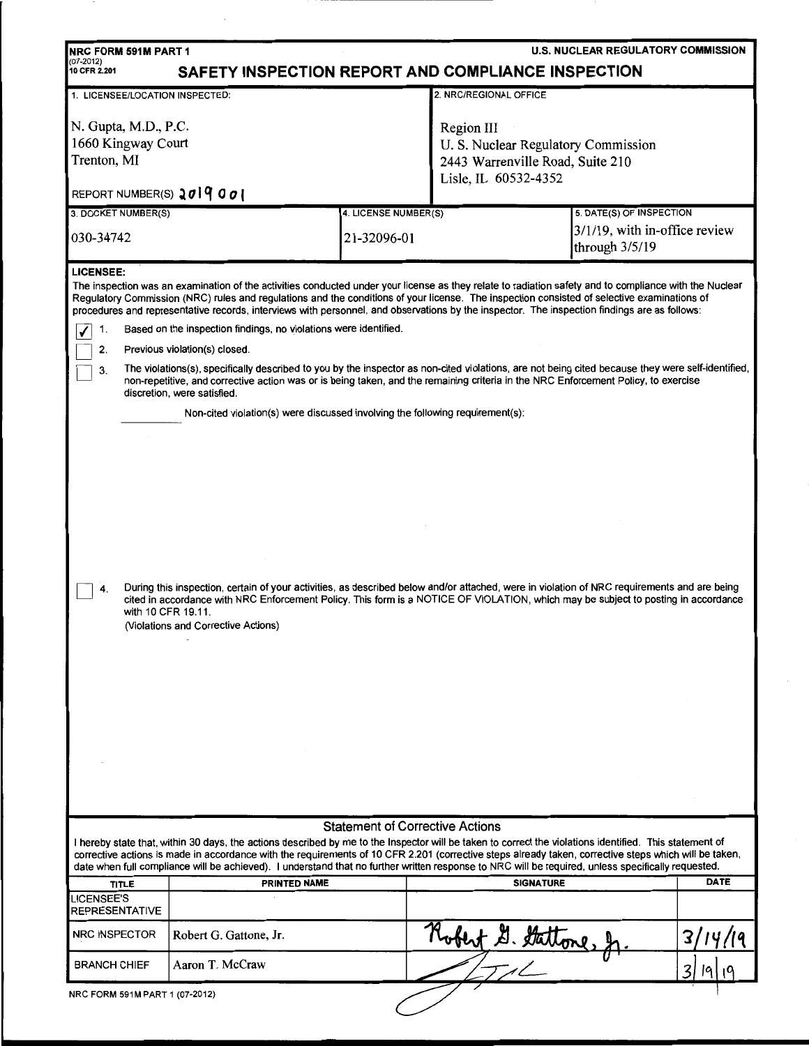| <b>U.S. NUCLEAR REGULATORY COMMISSION</b><br><b>NRC FORM 591M PART 1</b>                                                                                                                                                                                                                                                                                                                                                                                               |                                                                                                                                                                                                                                                                                                                                                                                                                                                       |                                        |                                                                                                              |                                                                                  |                      |  |  |  |
|------------------------------------------------------------------------------------------------------------------------------------------------------------------------------------------------------------------------------------------------------------------------------------------------------------------------------------------------------------------------------------------------------------------------------------------------------------------------|-------------------------------------------------------------------------------------------------------------------------------------------------------------------------------------------------------------------------------------------------------------------------------------------------------------------------------------------------------------------------------------------------------------------------------------------------------|----------------------------------------|--------------------------------------------------------------------------------------------------------------|----------------------------------------------------------------------------------|----------------------|--|--|--|
| $(07-2012)$<br>SAFETY INSPECTION REPORT AND COMPLIANCE INSPECTION<br>10 CFR 2.201                                                                                                                                                                                                                                                                                                                                                                                      |                                                                                                                                                                                                                                                                                                                                                                                                                                                       |                                        |                                                                                                              |                                                                                  |                      |  |  |  |
| 1. LICENSEE/LOCATION INSPECTED:                                                                                                                                                                                                                                                                                                                                                                                                                                        |                                                                                                                                                                                                                                                                                                                                                                                                                                                       |                                        | 2. NRC/REGIONAL OFFICE                                                                                       |                                                                                  |                      |  |  |  |
| N. Gupta, M.D., P.C.<br>1660 Kingway Court<br>Trenton, MI                                                                                                                                                                                                                                                                                                                                                                                                              |                                                                                                                                                                                                                                                                                                                                                                                                                                                       |                                        | Region III<br>U.S. Nuclear Regulatory Commission<br>2443 Warrenville Road, Suite 210<br>Lisle, IL 60532-4352 |                                                                                  |                      |  |  |  |
| REPORT NUMBER(S) $2019001$                                                                                                                                                                                                                                                                                                                                                                                                                                             |                                                                                                                                                                                                                                                                                                                                                                                                                                                       |                                        |                                                                                                              |                                                                                  |                      |  |  |  |
| 3. DOCKET NUMBER(S)<br>030-34742                                                                                                                                                                                                                                                                                                                                                                                                                                       |                                                                                                                                                                                                                                                                                                                                                                                                                                                       | 4. LICENSE NUMBER(S)<br>21-32096-01    |                                                                                                              | 5. DATE(S) OF INSPECTION<br>$3/1/19$ , with in-office review<br>through $3/5/19$ |                      |  |  |  |
| <b>LICENSEE:</b>                                                                                                                                                                                                                                                                                                                                                                                                                                                       | The inspection was an examination of the activities conducted under your license as they relate to radiation safety and to compliance with the Nuclear<br>Regulatory Commission (NRC) rules and regulations and the conditions of your license. The inspection consisted of selective examinations of<br>procedures and representative records, interviews with personnel, and observations by the inspector. The inspection findings are as follows: |                                        |                                                                                                              |                                                                                  |                      |  |  |  |
| 1.                                                                                                                                                                                                                                                                                                                                                                                                                                                                     | Based on the inspection findings, no violations were identified.                                                                                                                                                                                                                                                                                                                                                                                      |                                        |                                                                                                              |                                                                                  |                      |  |  |  |
| 2.                                                                                                                                                                                                                                                                                                                                                                                                                                                                     | Previous violation(s) closed.                                                                                                                                                                                                                                                                                                                                                                                                                         |                                        |                                                                                                              |                                                                                  |                      |  |  |  |
| The violations(s), specifically described to you by the inspector as non-cited violations, are not being cited because they were self-identified,<br>3.<br>non-repetitive, and corrective action was or is being taken, and the remaining criteria in the NRC Enforcement Policy, to exercise<br>discretion, were satisfied.                                                                                                                                           |                                                                                                                                                                                                                                                                                                                                                                                                                                                       |                                        |                                                                                                              |                                                                                  |                      |  |  |  |
|                                                                                                                                                                                                                                                                                                                                                                                                                                                                        | Non-cited violation(s) were discussed involving the following requirement(s):                                                                                                                                                                                                                                                                                                                                                                         |                                        |                                                                                                              |                                                                                  |                      |  |  |  |
| 4.                                                                                                                                                                                                                                                                                                                                                                                                                                                                     | During this inspection, certain of your activities, as described below and/or attached, were in violation of NRC requirements and are being<br>cited in accordance with NRC Enforcement Policy. This form is a NOTICE OF VIOLATION, which may be subject to posting in accordance<br>with 10 CFR 19.11.<br>(Violations and Corrective Actions)                                                                                                        |                                        |                                                                                                              |                                                                                  |                      |  |  |  |
|                                                                                                                                                                                                                                                                                                                                                                                                                                                                        |                                                                                                                                                                                                                                                                                                                                                                                                                                                       | <b>Statement of Corrective Actions</b> |                                                                                                              |                                                                                  |                      |  |  |  |
| I hereby state that, within 30 days, the actions described by me to the Inspector will be taken to correct the violations identified. This statement of<br>corrective actions is made in accordance with the requirements of 10 CFR 2.201 (corrective steps already taken, corrective steps which will be taken,<br>date when full compliance will be achieved). I understand that no further written response to NRC will be required, unless specifically requested. |                                                                                                                                                                                                                                                                                                                                                                                                                                                       |                                        |                                                                                                              |                                                                                  |                      |  |  |  |
| <b>TITLE</b>                                                                                                                                                                                                                                                                                                                                                                                                                                                           | PRINTED NAME                                                                                                                                                                                                                                                                                                                                                                                                                                          |                                        | <b>SIGNATURE</b>                                                                                             |                                                                                  | DATE                 |  |  |  |
| <b>LICENSEE'S</b><br>REPRESENTATIVE                                                                                                                                                                                                                                                                                                                                                                                                                                    |                                                                                                                                                                                                                                                                                                                                                                                                                                                       |                                        |                                                                                                              |                                                                                  |                      |  |  |  |
| <b>NRC INSPECTOR</b>                                                                                                                                                                                                                                                                                                                                                                                                                                                   | Robert G. Gattone, Jr.                                                                                                                                                                                                                                                                                                                                                                                                                                |                                        | Robert G. Stattone, J                                                                                        |                                                                                  | 31                   |  |  |  |
| <b>BRANCH CHIEF</b>                                                                                                                                                                                                                                                                                                                                                                                                                                                    | Aaron T. McCraw                                                                                                                                                                                                                                                                                                                                                                                                                                       |                                        |                                                                                                              |                                                                                  | $\overline{3}$<br>19 |  |  |  |
| NRC FORM 591M PART 1 (07-2012)                                                                                                                                                                                                                                                                                                                                                                                                                                         |                                                                                                                                                                                                                                                                                                                                                                                                                                                       |                                        |                                                                                                              |                                                                                  |                      |  |  |  |

-11